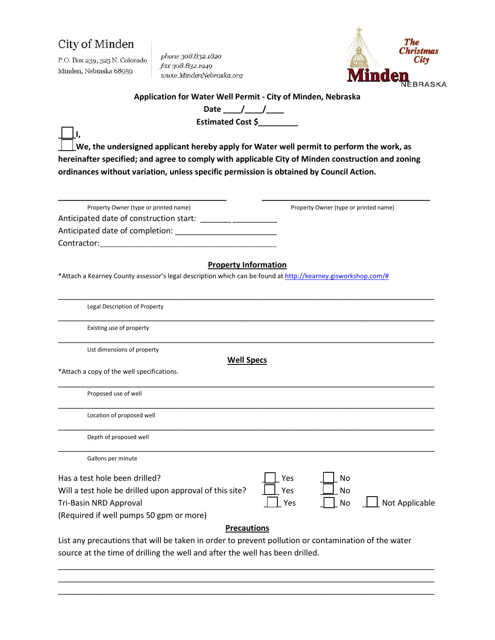**\_\_\_\_I,**

P.O. Box 239, 325 N. Colorado Minden, Nebraska 68959

phone 308.832.1820 fax 308.832.1949 www.MindenNebraska.org



**Application for Water Well Permit - City of Minden, Nebraska**

Date \_\_*\_\_\_/ \_\_\_\_\_/* \_\_\_\_\_ **Estimated Cost \$\_\_\_\_\_\_\_\_\_**

**\_\_\_\_We, the undersigned applicant hereby apply for Water well permit to perform the work, as hereinafter specified; and agree to comply with applicable City of Minden construction and zoning ordinances without variation, unless specific permission is obtained by Council Action.**

| Property Owner (type or printed name)                                                                        | Property Owner (type or printed name) |
|--------------------------------------------------------------------------------------------------------------|---------------------------------------|
| Anticipated date of construction start:                                                                      |                                       |
|                                                                                                              |                                       |
|                                                                                                              |                                       |
| <b>Property Information</b>                                                                                  |                                       |
| *Attach a Kearney County assessor's legal description which can be found at http://kearney.gisworkshop.com/# |                                       |
| Legal Description of Property                                                                                |                                       |
| Existing use of property                                                                                     |                                       |
| List dimensions of property<br><b>Well Specs</b>                                                             |                                       |
| *Attach a copy of the well specifications.                                                                   |                                       |
| Proposed use of well                                                                                         |                                       |
| Location of proposed well                                                                                    |                                       |
| Depth of proposed well                                                                                       |                                       |
| Gallons per minute                                                                                           |                                       |
| Has a test hole been drilled?                                                                                | Yes<br>No                             |
| Will a test hole be drilled upon approval of this site?                                                      | Yes<br>No                             |
| Tri-Basin NRD Approval                                                                                       | Not Applicable<br>No<br>Yes           |
| (Required if well pumps 50 gpm or more)                                                                      |                                       |

### **Precautions**

 $\_$  , and the state of the state of the state of the state of the state of the state of the state of the state of the state of the state of the state of the state of the state of the state of the state of the state of the

List any precautions that will be taken in order to prevent pollution or contamination of the water source at the time of drilling the well and after the well has been drilled.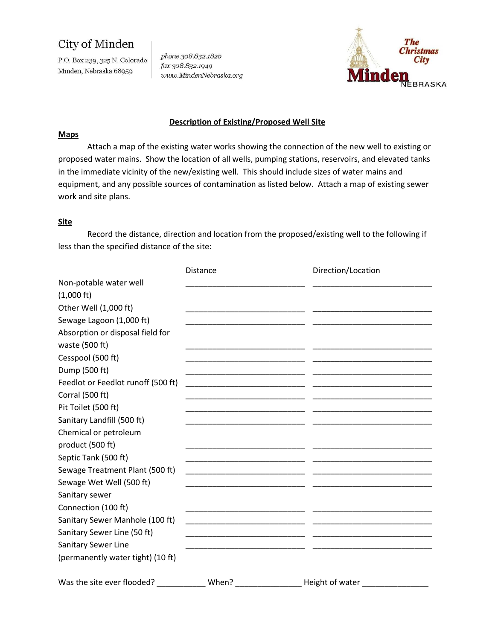P.O. Box 239, 325 N. Colorado Minden, Nebraska 68959

phone 308.832.1820 fax 308.832.1949 www.MindenNebraska.org



### **Description of Existing/Proposed Well Site**

#### **Maps**

Attach a map of the existing water works showing the connection of the new well to existing or proposed water mains. Show the location of all wells, pumping stations, reservoirs, and elevated tanks in the immediate vicinity of the new/existing well. This should include sizes of water mains and equipment, and any possible sources of contamination as listed below. Attach a map of existing sewer work and site plans.

### **Site**

Record the distance, direction and location from the proposed/existing well to the following if less than the specified distance of the site:

|                                    | Distance | Direction/Location |  |
|------------------------------------|----------|--------------------|--|
| Non-potable water well             |          |                    |  |
| $(1,000 \text{ ft})$               |          |                    |  |
| Other Well (1,000 ft)              |          |                    |  |
| Sewage Lagoon (1,000 ft)           |          |                    |  |
| Absorption or disposal field for   |          |                    |  |
| waste (500 ft)                     |          |                    |  |
| Cesspool (500 ft)                  |          |                    |  |
| Dump (500 ft)                      |          |                    |  |
| Feedlot or Feedlot runoff (500 ft) |          |                    |  |
| Corral (500 ft)                    |          |                    |  |
| Pit Toilet (500 ft)                |          |                    |  |
| Sanitary Landfill (500 ft)         |          |                    |  |
| Chemical or petroleum              |          |                    |  |
| product (500 ft)                   |          |                    |  |
| Septic Tank (500 ft)               |          |                    |  |
| Sewage Treatment Plant (500 ft)    |          |                    |  |
| Sewage Wet Well (500 ft)           |          |                    |  |
| Sanitary sewer                     |          |                    |  |
| Connection (100 ft)                |          |                    |  |
| Sanitary Sewer Manhole (100 ft)    |          |                    |  |
| Sanitary Sewer Line (50 ft)        |          |                    |  |
| <b>Sanitary Sewer Line</b>         |          |                    |  |
| (permanently water tight) (10 ft)  |          |                    |  |
| Was the site ever flooded?         | When?    | Height of water    |  |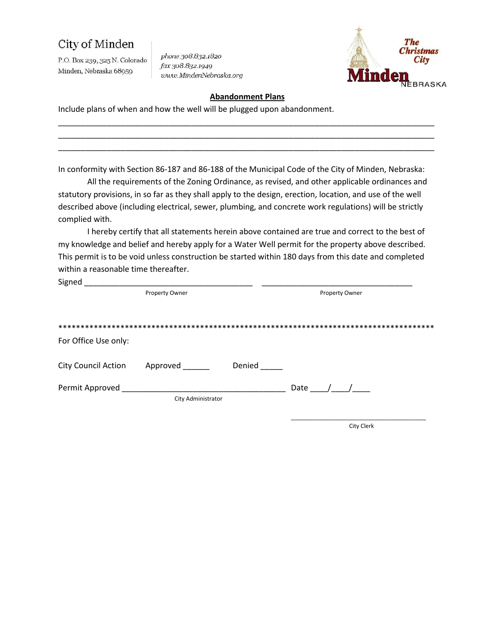P.O. Box 239, 325 N. Colorado Minden, Nebraska 68959

phone 308.832.1820 fax 308.832.1949 www.MindenNebraska.org



#### **Abandonment Plans**

\_\_\_\_\_\_\_\_\_\_\_\_\_\_\_\_\_\_\_\_\_\_\_\_\_\_\_\_\_\_\_\_\_\_\_\_\_\_\_\_\_\_\_\_\_\_\_\_\_\_\_\_\_\_\_\_\_\_\_\_\_\_\_\_\_\_\_\_\_\_\_\_\_\_\_\_\_\_\_\_\_\_\_\_\_

Include plans of when and how the well will be plugged upon abandonment.

In conformity with Section 86-187 and 86-188 of the Municipal Code of the City of Minden, Nebraska:

All the requirements of the Zoning Ordinance, as revised, and other applicable ordinances and statutory provisions, in so far as they shall apply to the design, erection, location, and use of the well described above (including electrical, sewer, plumbing, and concrete work regulations) will be strictly complied with.

I hereby certify that all statements herein above contained are true and correct to the best of my knowledge and belief and hereby apply for a Water Well permit for the property above described. This permit is to be void unless construction be started within 180 days from this date and completed within a reasonable time thereafter.

| Signed               |                    |        |      |                |
|----------------------|--------------------|--------|------|----------------|
|                      | Property Owner     |        |      | Property Owner |
|                      |                    |        |      |                |
|                      |                    |        |      |                |
| For Office Use only: |                    |        |      |                |
| City Council Action  | Approved           | Denied |      |                |
| Permit Approved      |                    |        | Date |                |
|                      | City Administrator |        |      |                |
|                      |                    |        |      |                |

City Clerk